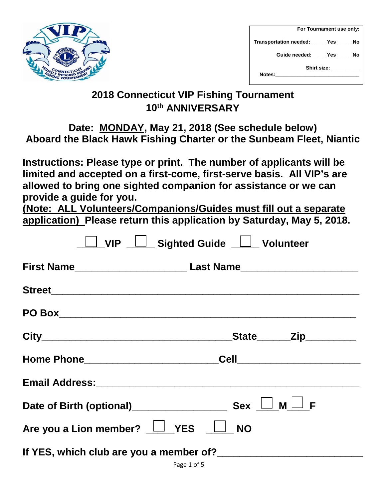

|        | For Tournament use only:                  |  |  |  |
|--------|-------------------------------------------|--|--|--|
|        | Transportation needed: _____ Yes _____ No |  |  |  |
|        | Guide needed: _____ Yes _____ No          |  |  |  |
|        | Shirt size: <b>Shirt</b>                  |  |  |  |
| Notes: |                                           |  |  |  |

## **2018 Connecticut VIP Fishing Tournament 10th ANNIVERSARY**

## **Date: MONDAY, May 21, 2018 (See schedule below) Aboard the Black Hawk Fishing Charter or the Sunbeam Fleet, Niantic**

**Instructions: Please type or print. The number of applicants will be limited and accepted on a first-come, first-serve basis. All VIP's are allowed to bring one sighted companion for assistance or we can provide a guide for you.** 

**(Note: ALL Volunteers/Companions/Guides must fill out a separate application) Please return this application by Saturday, May 5, 2018.**

| <b>VIP</b>                                  | <u>LSighted Guide LSS</u> Volunteer |  |
|---------------------------------------------|-------------------------------------|--|
|                                             |                                     |  |
|                                             |                                     |  |
|                                             |                                     |  |
|                                             | _State_______Zip_________           |  |
|                                             |                                     |  |
|                                             |                                     |  |
|                                             |                                     |  |
| Are you a Lion member? $\Box$ YES $\Box$ NO |                                     |  |
|                                             |                                     |  |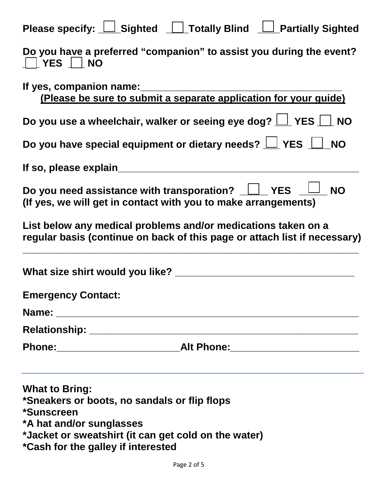| Please specify: $\Box$ Sighted $\Box$ Totally Blind<br><b>Partially Sighted</b>                                                                               |
|---------------------------------------------------------------------------------------------------------------------------------------------------------------|
| Do you have a preferred "companion" to assist you during the event?<br>$ YES $ NO                                                                             |
| If yes, companion name:<br>(Please be sure to submit a separate application for your guide)                                                                   |
| Do you use a wheelchair, walker or seeing eye dog? $\boxed{\phantom{a}}$ YES $\boxed{\phantom{a}}$ NO                                                         |
| Do you have special equipment or dietary needs? $\underline{\bigsqcup}$ YES $\underline{\bigsqcup}$<br><b>NO</b>                                              |
| If so, please explain                                                                                                                                         |
| Do you need assistance with transporation?<br>Nesternational Property Services<br><b>NO</b><br>(If yes, we will get in contact with you to make arrangements) |
| List below any medical problems and/or medications taken on a<br>regular basis (continue on back of this page or attach list if necessary)                    |
| What size shirt would you like? ___                                                                                                                           |
| <b>Emergency Contact:</b>                                                                                                                                     |
|                                                                                                                                                               |
|                                                                                                                                                               |
|                                                                                                                                                               |
| <b>What to Bring:</b><br>*Sneakers or boots, no sandals or flip flops<br>*Sunscreen<br>*A hat and/or sunglasses                                               |

**\*Jacket or sweatshirt (it can get cold on the water)**

**\*Cash for the galley if interested**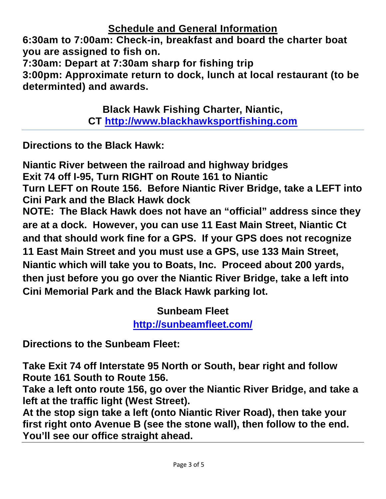**Schedule and General Information**

**6:30am to 7:00am: Check-in, breakfast and board the charter boat you are assigned to fish on.**

**7:30am: Depart at 7:30am sharp for fishing trip**

**3:00pm: Approximate return to dock, lunch at local restaurant (to be determinted) and awards.**

> **Black Hawk Fishing Charter, Niantic, CT [http://www.blackhawksportfishing.com](http://www.blackhawksportfishing.com/)**

**Directions to the Black Hawk:**

**Niantic River between the railroad and highway bridges Exit 74 off I-95, Turn RIGHT on Route 161 to Niantic Turn LEFT on Route 156. Before Niantic River Bridge, take a LEFT into Cini Park and the Black Hawk dock NOTE: The Black Hawk does not have an "official" address since they are at a dock. However, you can use 11 East Main Street, Niantic Ct and that should work fine for a GPS. If your GPS does not recognize 11 East Main Street and you must use a GPS, use 133 Main Street, Niantic which will take you to Boats, Inc. Proceed about 200 yards, then just before you go over the Niantic River Bridge, take a left into Cini Memorial Park and the Black Hawk parking lot.**

> **Sunbeam Fleet <http://sunbeamfleet.com/>**

**Directions to the Sunbeam Fleet:**

**Take Exit 74 off Interstate 95 North or South, bear right and follow Route 161 South to Route 156.** 

**Take a left onto route 156, go over the Niantic River Bridge, and take a left at the traffic light (West Street).** 

**At the stop sign take a left (onto Niantic River Road), then take your first right onto Avenue B (see the stone wall), then follow to the end. You'll see our office straight ahead.**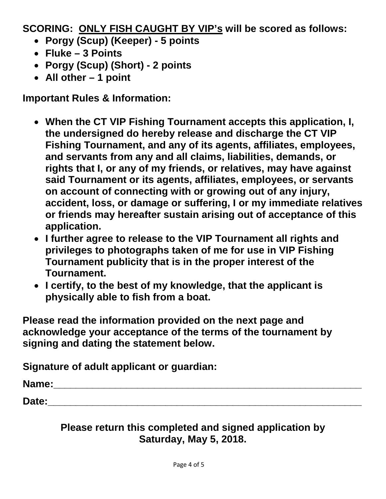**SCORING: ONLY FISH CAUGHT BY VIP's will be scored as follows:**

- **Porgy (Scup) (Keeper) - 5 points**
- **Fluke – 3 Points**
- **Porgy (Scup) (Short) - 2 points**
- **All other – 1 point**

**Important Rules & Information:**

- **When the CT VIP Fishing Tournament accepts this application, I, the undersigned do hereby release and discharge the CT VIP Fishing Tournament, and any of its agents, affiliates, employees, and servants from any and all claims, liabilities, demands, or rights that I, or any of my friends, or relatives, may have against said Tournament or its agents, affiliates, employees, or servants on account of connecting with or growing out of any injury, accident, loss, or damage or suffering, I or my immediate relatives or friends may hereafter sustain arising out of acceptance of this application.**
- **I further agree to release to the VIP Tournament all rights and privileges to photographs taken of me for use in VIP Fishing Tournament publicity that is in the proper interest of the Tournament.**
- **I certify, to the best of my knowledge, that the applicant is physically able to fish from a boat.**

**Please read the information provided on the next page and acknowledge your acceptance of the terms of the tournament by signing and dating the statement below.**

**Signature of adult applicant or guardian:**

**Name:**  $\qquad \qquad \qquad$ 

**Date:\_\_\_\_\_\_\_\_\_\_\_\_\_\_\_\_\_\_\_\_\_\_\_\_\_\_\_\_\_\_\_\_\_\_\_\_\_\_\_\_\_\_\_\_\_\_\_\_\_\_\_\_\_\_\_\_**

**Please return this completed and signed application by Saturday, May 5, 2018.**